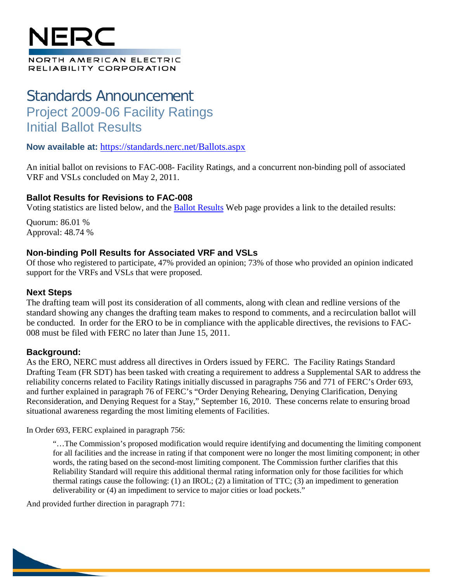# NFQ(

#### NORTH AMERICAN ELECTRIC RELIABILITY CORPORATION

# Standards Announcement Project 2009-06 Facility Ratings Initial Ballot Results

### **Now available at:** <https://standards.nerc.net/Ballots.aspx>

An initial ballot on revisions to FAC-008- Facility Ratings, and a concurrent non-binding poll of associated VRF and VSLs concluded on May 2, 2011.

### **Ballot Results for Revisions to FAC-008**

Voting statistics are listed below, and the [Ballot Results](https://standards.nerc.net/Ballots.aspx) Web page provides a link to the detailed results:

Quorum: 86.01 % Approval: 48.74 %

## **Non-binding Poll Results for Associated VRF and VSLs**

Of those who registered to participate, 47% provided an opinion; 73% of those who provided an opinion indicated support for the VRFs and VSLs that were proposed.

### **Next Steps**

The drafting team will post its consideration of all comments, along with clean and redline versions of the standard showing any changes the drafting team makes to respond to comments, and a recirculation ballot will be conducted. In order for the ERO to be in compliance with the applicable directives, the revisions to FAC-008 must be filed with FERC no later than June 15, 2011.

### **Background:**

As the ERO, NERC must address all directives in Orders issued by FERC. The Facility Ratings Standard Drafting Team (FR SDT) has been tasked with creating a requirement to address a Supplemental SAR to address the reliability concerns related to Facility Ratings initially discussed in paragraphs 756 and 771 of FERC's Order 693, and further explained in paragraph 76 of FERC's "Order Denying Rehearing, Denying Clarification, Denying Reconsideration, and Denying Request for a Stay," September 16, 2010. These concerns relate to ensuring broad situational awareness regarding the most limiting elements of Facilities.

In Order 693, FERC explained in paragraph 756:

"…The Commission's proposed modification would require identifying and documenting the limiting component for all facilities and the increase in rating if that component were no longer the most limiting component; in other words, the rating based on the second-most limiting component. The Commission further clarifies that this Reliability Standard will require this additional thermal rating information only for those facilities for which thermal ratings cause the following: (1) an IROL; (2) a limitation of TTC; (3) an impediment to generation deliverability or (4) an impediment to service to major cities or load pockets."

And provided further direction in paragraph 771: